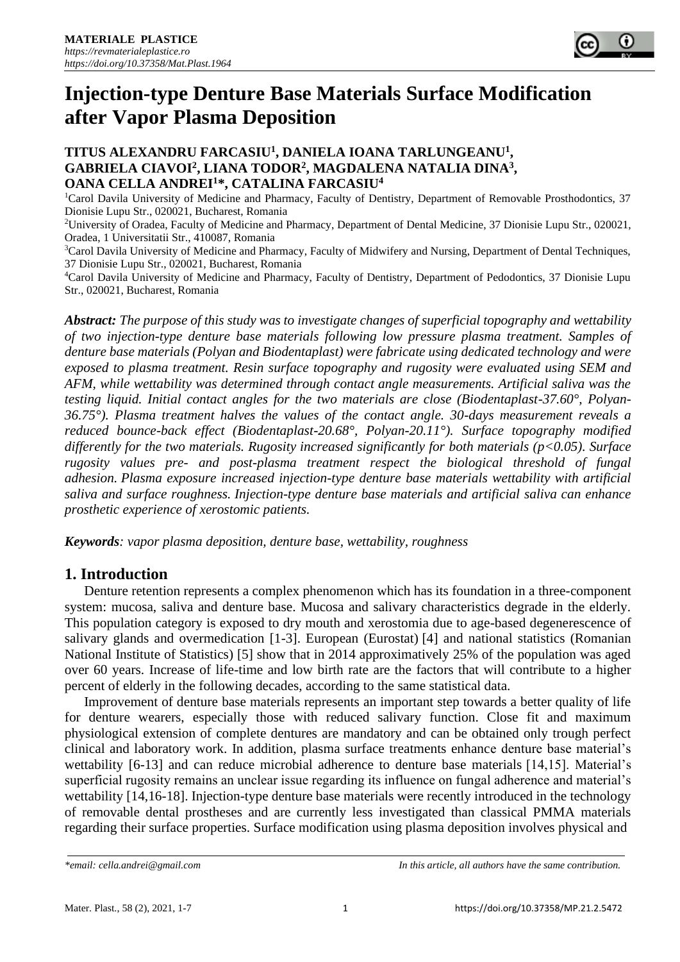

## **TITUS ALEXANDRU FARCASIU<sup>1</sup> , DANIELA IOANA TARLUNGEANU<sup>1</sup> , GABRIELA CIAVOI<sup>2</sup> , LIANA TODOR<sup>2</sup> , MAGDALENA NATALIA DINA<sup>3</sup> , OANA CELLA ANDREI<sup>1</sup>\*, CATALINA FARCASIU<sup>4</sup>**

<sup>1</sup>Carol Davila University of Medicine and Pharmacy, Faculty of Dentistry, Department of Removable Prosthodontics, 37 Dionisie Lupu Str., 020021, Bucharest, Romania

<sup>2</sup>University of Oradea, Faculty of Medicine and Pharmacy, Department of Dental Medicine, 37 Dionisie Lupu Str., 020021, Oradea, 1 Universitatii Str., 410087, Romania

<sup>3</sup>Carol Davila University of Medicine and Pharmacy, Faculty of Midwifery and Nursing, Department of Dental Techniques, 37 Dionisie Lupu Str., 020021, Bucharest, Romania

<sup>4</sup>Carol Davila University of Medicine and Pharmacy, Faculty of Dentistry, Department of Pedodontics, 37 Dionisie Lupu Str., 020021, Bucharest, Romania

*Abstract: The purpose of this study was to investigate changes of superficial topography and wettability of two injection-type denture base materials following low pressure plasma treatment. Samples of denture base materials (Polyan and Biodentaplast) were fabricate using dedicated technology and were exposed to plasma treatment. Resin surface topography and rugosity were evaluated using SEM and AFM, while wettability was determined through contact angle measurements. Artificial saliva was the testing liquid. Initial contact angles for the two materials are close (Biodentaplast-37.60°, Polyan-36.75°). Plasma treatment halves the values of the contact angle. 30-days measurement reveals a reduced bounce-back effect (Biodentaplast-20.68°, Polyan-20.11°). Surface topography modified differently for the two materials. Rugosity increased significantly for both materials (p<0.05). Surface rugosity values pre- and post-plasma treatment respect the biological threshold of fungal adhesion. Plasma exposure increased injection-type denture base materials wettability with artificial saliva and surface roughness. Injection-type denture base materials and artificial saliva can enhance prosthetic experience of xerostomic patients.* 

*Keywords: vapor plasma deposition, denture base, wettability, roughness* 

# **1. Introduction**

Denture retention represents a complex phenomenon which has its foundation in a three-component system: mucosa, saliva and denture base. Mucosa and salivary characteristics degrade in the elderly. This population category is exposed to dry mouth and xerostomia due to age-based degenerescence of salivary glands and overmedication [1-3]. European (Eurostat) [4] and national statistics (Romanian National Institute of Statistics) [5] show that in 2014 approximatively 25% of the population was aged over 60 years. Increase of life-time and low birth rate are the factors that will contribute to a higher percent of elderly in the following decades, according to the same statistical data.

Improvement of denture base materials represents an important step towards a better quality of life for denture wearers, especially those with reduced salivary function. Close fit and maximum physiological extension of complete dentures are mandatory and can be obtained only trough perfect clinical and laboratory work. In addition, plasma surface treatments enhance denture base material's wettability [6-13] and can reduce microbial adherence to denture base materials [14,15]. Material's superficial rugosity remains an unclear issue regarding its influence on fungal adherence and material's wettability [14,16-18]. Injection-type denture base materials were recently introduced in the technology of removable dental prostheses and are currently less investigated than classical PMMA materials regarding their surface properties. Surface modification using plasma deposition involves physical and

*<sup>\*</sup>email: [cella.andrei@gmail.com](mailto:cella.andrei@gmail.com) In this article, all authors have the same contribution.*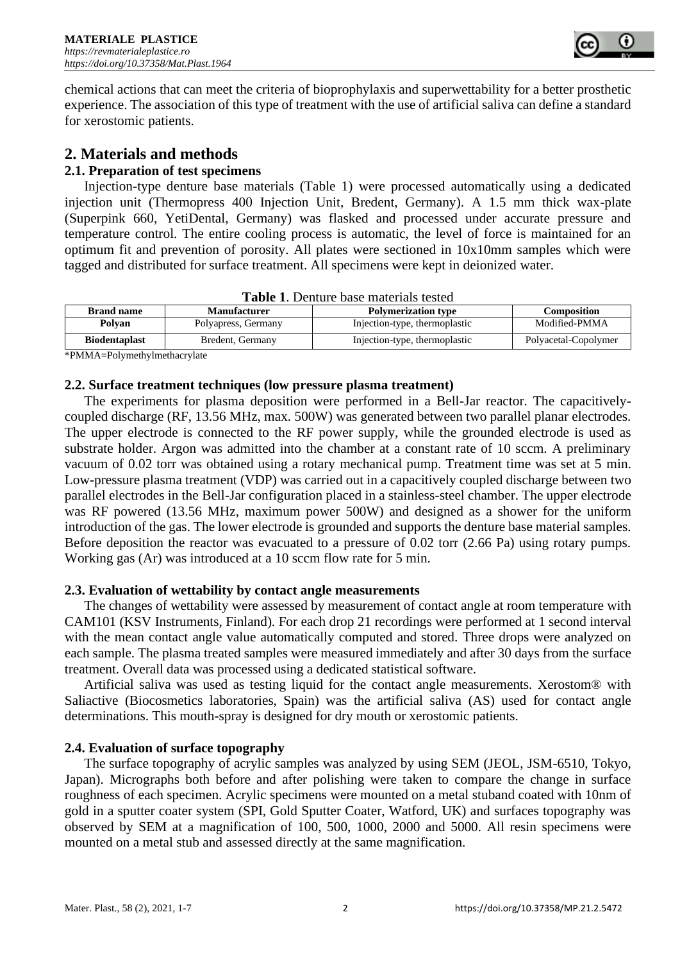

chemical actions that can meet the criteria of bioprophylaxis and superwettability for a better prosthetic experience. The association of this type of treatment with the use of artificial saliva can define a standard for xerostomic patients.

# **2. Materials and methods**

## **2.1. Preparation of test specimens**

Injection-type denture base materials (Table 1) were processed automatically using a dedicated injection unit (Thermopress 400 Injection Unit, Bredent, Germany). A 1.5 mm thick wax-plate (Superpink 660, YetiDental, Germany) was flasked and processed under accurate pressure and temperature control. The entire cooling process is automatic, the level of force is maintained for an optimum fit and prevention of porosity. All plates were sectioned in 10x10mm samples which were tagged and distributed for surface treatment. All specimens were kept in deionized water.

| <b>Table 1.</b> Definite base materials tested |                                                   |                               |                      |  |
|------------------------------------------------|---------------------------------------------------|-------------------------------|----------------------|--|
| <b>Brand name</b>                              | <b>Polymerization type</b><br><b>Manufacturer</b> |                               | <b>Composition</b>   |  |
| Polyan                                         | Polyapress, Germany                               | Injection-type, thermoplastic | Modified-PMMA        |  |
| <b>Biodentaplast</b>                           | Bredent, Germany                                  | Injection-type, thermoplastic | Polyacetal-Copolymer |  |
|                                                |                                                   |                               |                      |  |

|  |  |  | <b>Table 1.</b> Denture base materials tested |  |
|--|--|--|-----------------------------------------------|--|
|--|--|--|-----------------------------------------------|--|

\*PMMA=Polymethylmethacrylate

### **2.2. Surface treatment techniques (low pressure plasma treatment)**

The experiments for plasma deposition were performed in a Bell-Jar reactor. The capacitivelycoupled discharge (RF, 13.56 MHz, max. 500W) was generated between two parallel planar electrodes. The upper electrode is connected to the RF power supply, while the grounded electrode is used as substrate holder. Argon was admitted into the chamber at a constant rate of 10 sccm. A preliminary vacuum of 0.02 torr was obtained using a rotary mechanical pump. Treatment time was set at 5 min. Low-pressure plasma treatment (VDP) was carried out in a capacitively coupled discharge between two parallel electrodes in the Bell-Jar configuration placed in a stainless-steel chamber. The upper electrode was RF powered (13.56 MHz, maximum power 500W) and designed as a shower for the uniform introduction of the gas. The lower electrode is grounded and supports the denture base material samples. Before deposition the reactor was evacuated to a pressure of 0.02 torr (2.66 Pa) using rotary pumps. Working gas (Ar) was introduced at a 10 sccm flow rate for 5 min.

### **2.3. Evaluation of wettability by contact angle measurements**

The changes of wettability were assessed by measurement of contact angle at room temperature with CAM101 (KSV Instruments, Finland). For each drop 21 recordings were performed at 1 second interval with the mean contact angle value automatically computed and stored. Three drops were analyzed on each sample. The plasma treated samples were measured immediately and after 30 days from the surface treatment. Overall data was processed using a dedicated statistical software.

Artificial saliva was used as testing liquid for the contact angle measurements. Xerostom® with Saliactive (Biocosmetics laboratories, Spain) was the artificial saliva (AS) used for contact angle determinations. This mouth-spray is designed for dry mouth or xerostomic patients.

# **2.4. Evaluation of surface topography**

The surface topography of acrylic samples was analyzed by using SEM (JEOL, JSM-6510, Tokyo, Japan). Micrographs both before and after polishing were taken to compare the change in surface roughness of each specimen. Acrylic specimens were mounted on a metal stuband coated with 10nm of gold in a sputter coater system (SPI, Gold Sputter Coater, Watford, UK) and surfaces topography was observed by SEM at a magnification of 100, 500, 1000, 2000 and 5000. All resin specimens were mounted on a metal stub and assessed directly at the same magnification.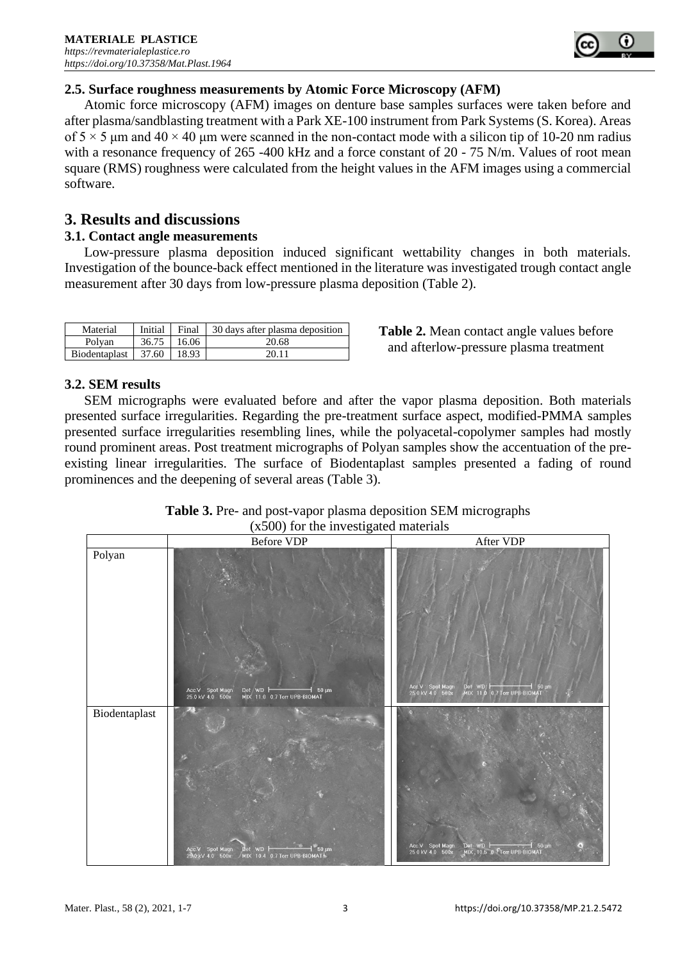

Atomic force microscopy (AFM) images on denture base samples surfaces were taken before and after plasma/sandblasting treatment with a Park XE-100 instrument from Park Systems (S. Korea). Areas of  $5 \times 5$  μm and  $40 \times 40$  μm were scanned in the non-contact mode with a silicon tip of 10-20 nm radius with a resonance frequency of 265 -400 kHz and a force constant of 20 - 75 N/m. Values of root mean square (RMS) roughness were calculated from the height values in the AFM images using a commercial software.

# **3. Results and discussions**

## **3.1. Contact angle measurements**

Low-pressure plasma deposition induced significant wettability changes in both materials. Investigation of the bounce-back effect mentioned in the literature was investigated trough contact angle measurement after 30 days from low-pressure plasma deposition (Table 2).

| Material                      |               | Initial Final $\vert$ 30 days after plasma deposition |  |
|-------------------------------|---------------|-------------------------------------------------------|--|
| Polvan                        | $36.75$ 16.06 | 20.68                                                 |  |
| Biodentaplast   37.60   18.93 |               | 20.11                                                 |  |

**Table 2.** Mean contact angle values before and afterlow-pressure plasma treatment

# **3.2. SEM results**

SEM micrographs were evaluated before and after the vapor plasma deposition. Both materials presented surface irregularities. Regarding the pre-treatment surface aspect, modified-PMMA samples presented surface irregularities resembling lines, while the polyacetal-copolymer samples had mostly round prominent areas. Post treatment micrographs of Polyan samples show the accentuation of the preexisting linear irregularities. The surface of Biodentaplast samples presented a fading of round prominences and the deepening of several areas (Table 3).

|               | $(x\omega\omega)$ for the investigated materials<br>Before VDP                                                                                 | After VDP                                                                                              |
|---------------|------------------------------------------------------------------------------------------------------------------------------------------------|--------------------------------------------------------------------------------------------------------|
| Polyan        | Acc.V Spot Magn<br>25.0 kV 4.0 500x<br>Det WD $\vdash$<br>$50 \mu m$                                                                           | Acc.V Spot Magn<br>25.0 kV 4.0 500x<br>Det WD   50 µm<br>MIX 11.0 07 Torr UPB-BIOMAT                   |
| Biodentaplast | MIX 11.0 0.7 Torr UPB-BIOMAT<br>Det WD $\rightarrow$ 50 µm<br>Acc V Spot Magn Det WD H H 50 µ<br>25 G kV 4.0 500x MIX 10.4 0.7 Torr UPB-BIOMAT | Det WD <b>Figure 1996</b><br>MIX, 10.5 0 Trorr UPB-BIOMAT<br>Acc.V Spot Magn<br>25.0 kV 4.0 500x<br>G) |

**Table 3.** Pre- and post-vapor plasma deposition SEM micrographs  $(x500)$  for the investigated materials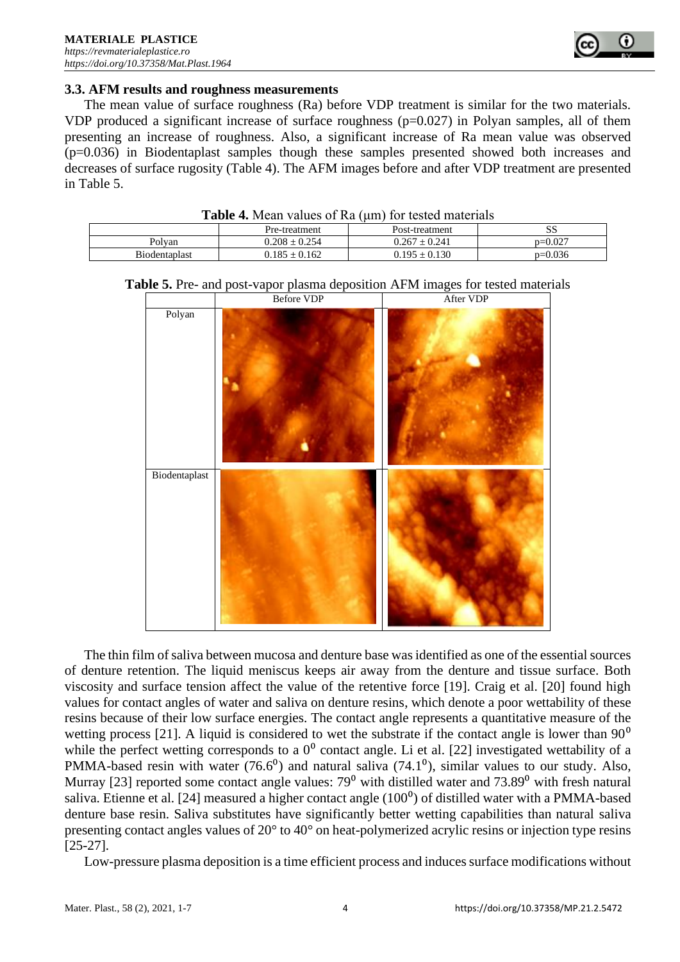

#### **3.3. AFM results and roughness measurements**

The mean value of surface roughness (Ra) before VDP treatment is similar for the two materials. VDP produced a significant increase of surface roughness  $(p=0.027)$  in Polyan samples, all of them presenting an increase of roughness. Also, a significant increase of Ra mean value was observed (p=0.036) in Biodentaplast samples though these samples presented showed both increases and decreases of surface rugosity (Table 4). The AFM images before and after VDP treatment are presented in Table 5.

**Table 4.** Mean values of Ra (um) for tested materials

|               | Pre-treatment     | Post-treatment    | SS        |
|---------------|-------------------|-------------------|-----------|
| Polvan        | $0.208 \pm 0.254$ | $0.267 \pm 0.241$ | $p=0.027$ |
| Biodentaplast | $0.185 \pm 0.162$ | $0.195 \pm 0.130$ | $p=0.036$ |





The thin film of saliva between mucosa and denture base was identified as one of the essential sources of denture retention. The liquid meniscus keeps air away from the denture and tissue surface. Both viscosity and surface tension affect the value of the retentive force [19]. Craig et al. [20] found high values for contact angles of water and saliva on denture resins, which denote a poor wettability of these resins because of their low surface energies. The contact angle represents a quantitative measure of the wetting process [21]. A liquid is considered to wet the substrate if the contact angle is lower than  $90^{\circ}$ while the perfect wetting corresponds to a  $0^0$  contact angle. Li et al. [22] investigated wettability of a PMMA-based resin with water (76.6<sup>0</sup>) and natural saliva (74.1<sup>0</sup>), similar values to our study. Also, Murray [23] reported some contact angle values:  $79^{\circ}$  with distilled water and  $73.89^{\circ}$  with fresh natural saliva. Etienne et al. [24] measured a higher contact angle (100<sup>0</sup>) of distilled water with a PMMA-based denture base resin. Saliva substitutes have significantly better wetting capabilities than natural saliva presenting contact angles values of 20° to 40° on heat-polymerized acrylic resins or injection type resins [25-27].

Low-pressure plasma deposition is a time efficient process and induces surface modifications without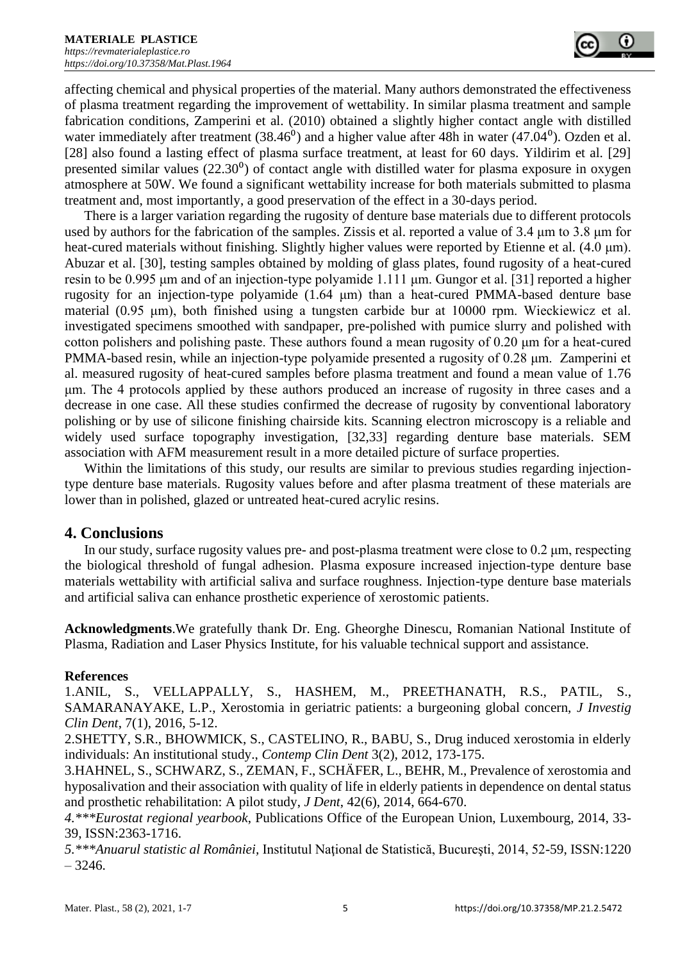affecting chemical and physical properties of the material. Many authors demonstrated the effectiveness of plasma treatment regarding the improvement of wettability. In similar plasma treatment and sample fabrication conditions, Zamperini et al. (2010) obtained a slightly higher contact angle with distilled water immediately after treatment  $(38.46<sup>0</sup>)$  and a higher value after 48h in water  $(47.04<sup>0</sup>)$ . Ozden et al. [28] also found a lasting effect of plasma surface treatment, at least for 60 days. Yildirim et al. [29] presented similar values  $(22.30<sup>0</sup>)$  of contact angle with distilled water for plasma exposure in oxygen atmosphere at 50W. We found a significant wettability increase for both materials submitted to plasma treatment and, most importantly, a good preservation of the effect in a 30-days period.

There is a larger variation regarding the rugosity of denture base materials due to different protocols used by authors for the fabrication of the samples. Zissis et al. reported a value of 3.4 μm to 3.8 μm for heat-cured materials without finishing. Slightly higher values were reported by Etienne et al. (4.0 μm). Abuzar et al. [30], testing samples obtained by molding of glass plates, found rugosity of a heat-cured resin to be 0.995 μm and of an injection-type polyamide 1.111 μm. Gungor et al. [31] reported a higher rugosity for an injection-type polyamide (1.64 μm) than a heat-cured PMMA-based denture base material (0.95 μm), both finished using a tungsten carbide bur at 10000 rpm. Wieckiewicz et al. investigated specimens smoothed with sandpaper, pre-polished with pumice slurry and polished with cotton polishers and polishing paste. These authors found a mean rugosity of 0.20 μm for a heat-cured PMMA-based resin, while an injection-type polyamide presented a rugosity of 0.28 μm. Zamperini et al. measured rugosity of heat-cured samples before plasma treatment and found a mean value of 1.76 μm. The 4 protocols applied by these authors produced an increase of rugosity in three cases and a decrease in one case. All these studies confirmed the decrease of rugosity by conventional laboratory polishing or by use of silicone finishing chairside kits. Scanning electron microscopy is a reliable and widely used surface topography investigation, [32,33] regarding denture base materials. SEM association with AFM measurement result in a more detailed picture of surface properties.

Within the limitations of this study, our results are similar to previous studies regarding injectiontype denture base materials. Rugosity values before and after plasma treatment of these materials are lower than in polished, glazed or untreated heat-cured acrylic resins.

# **4. Conclusions**

In our study, surface rugosity values pre- and post-plasma treatment were close to 0.2 μm, respecting the biological threshold of fungal adhesion. Plasma exposure increased injection-type denture base materials wettability with artificial saliva and surface roughness. Injection-type denture base materials and artificial saliva can enhance prosthetic experience of xerostomic patients.

**Acknowledgments**.We gratefully thank Dr. Eng. Gheorghe Dinescu, Romanian National Institute of Plasma, Radiation and Laser Physics Institute, for his valuable technical support and assistance.

### **References**

1.ANIL, S., VELLAPPALLY, S., HASHEM, M., PREETHANATH, R.S., PATIL, S., SAMARANAYAKE, L.P., Xerostomia in geriatric patients: a burgeoning global concern, *J Investig Clin Dent*, 7(1), 2016, 5-12.

2.SHETTY, S.R., BHOWMICK, S., CASTELINO, R., BABU, S., Drug induced xerostomia in elderly individuals: An institutional study., *Contemp Clin Dent* 3(2), 2012, 173-175.

3.HAHNEL, S., SCHWARZ, S., ZEMAN, F., SCHÄFER, L., BEHR, M., Prevalence of xerostomia and hyposalivation and their association with quality of life in elderly patients in dependence on dental status and prosthetic rehabilitation: A pilot study, *J Dent*, 42(6), 2014, 664-670.

*4.\*\*\*Eurostat regional yearbook*, Publications Office of the European Union, Luxembourg, 2014, 33- 39, ISSN:2363-1716.

*5.\*\*\*Anuarul statistic al României,* Institutul Naţional de Statistică, Bucureşti, 2014, 52-59, ISSN:1220  $-3246.$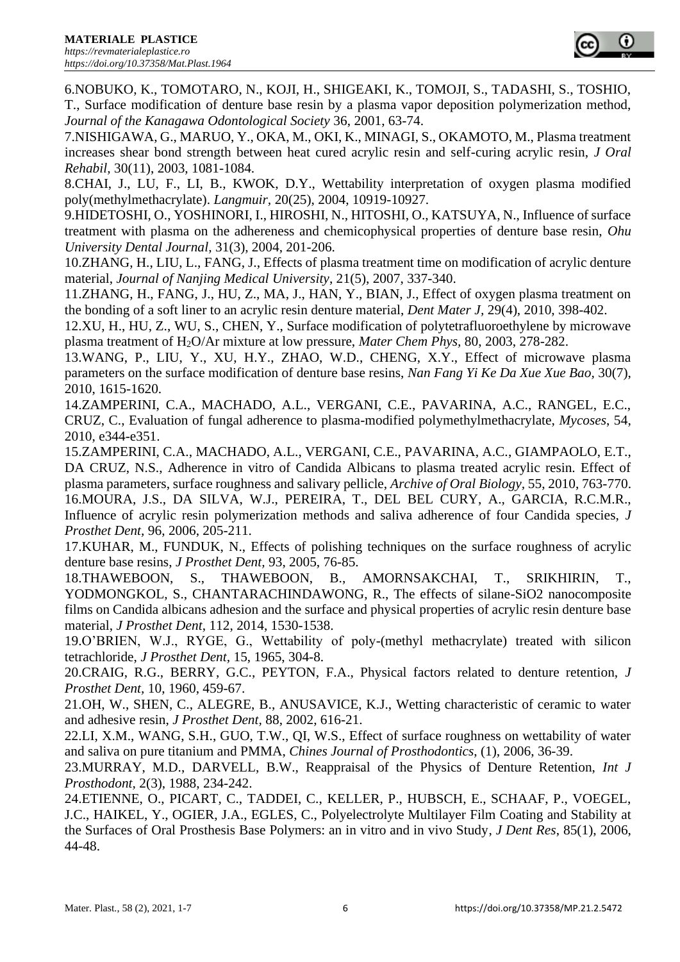6.NOBUKO, K., TOMOTARO, N., KOJI, H., SHIGEAKI, K., TOMOJI, S., TADASHI, S., TOSHIO, T., Surface modification of denture base resin by a plasma vapor deposition polymerization method, *Journal of the Kanagawa Odontological Society* 36, 2001, 63-74.

7.NISHIGAWA, G., MARUO, Y., OKA, M., OKI, K., MINAGI, S., OKAMOTO, M., Plasma treatment increases shear bond strength between heat cured acrylic resin and self-curing acrylic resin, *J Oral Rehabil,* 30(11), 2003, 1081-1084.

8.CHAI, J., LU, F., LI, B., KWOK, D.Y., Wettability interpretation of oxygen plasma modified poly(methylmethacrylate). *Langmuir,* 20(25), 2004, 10919-10927.

9.HIDETOSHI, O., YOSHINORI, I., HIROSHI, N., HITOSHI, O., KATSUYA, N., Influence of surface treatment with plasma on the adhereness and chemicophysical properties of denture base resin, *Ohu University Dental Journal,* 31(3), 2004, 201-206.

10.ZHANG, H., LIU, L., FANG, J., Effects of plasma treatment time on modification of acrylic denture material, *Journal of Nanjing Medical University*, 21(5), 2007, 337-340.

11.ZHANG, H., FANG, J., HU, Z., MA, J., HAN, Y., BIAN, J., Effect of oxygen plasma treatment on the bonding of a soft liner to an acrylic resin denture material, *Dent Mater J,* 29(4), 2010, 398-402.

12.XU, H., HU, Z., WU, S., CHEN, Y., Surface modification of polytetrafluoroethylene by microwave plasma treatment of H2O/Ar mixture at low pressure, *Mater Chem Phys,* 80, 2003, 278-282.

13.WANG, P., LIU, Y., XU, H.Y., ZHAO, W.D., CHENG, X.Y., Effect of microwave plasma parameters on the surface modification of denture base resins, *Nan Fang Yi Ke Da Xue Xue Bao,* 30(7), 2010, 1615-1620.

14.ZAMPERINI, C.A., MACHADO, A.L., VERGANI, C.E., PAVARINA, A.C., RANGEL, E.C., CRUZ, C., Evaluation of fungal adherence to plasma-modified polymethylmethacrylate, *Mycoses*, 54, 2010, e344-e351.

15.ZAMPERINI, C.A., MACHADO, A.L., VERGANI, C.E., PAVARINA, A.C., GIAMPAOLO, E.T., DA CRUZ, N.S., Adherence in vitro of Candida Albicans to plasma treated acrylic resin. Effect of plasma parameters, surface roughness and salivary pellicle, *Archive of Oral Biology,* 55, 2010, 763-770. 16.MOURA, J.S., DA SILVA, W.J., PEREIRA, T., DEL BEL CURY, A., GARCIA, R.C.M.R., Influence of acrylic resin polymerization methods and saliva adherence of four Candida species, *J Prosthet Dent,* 96, 2006, 205-211.

17.KUHAR, M., FUNDUK, N., Effects of polishing techniques on the surface roughness of acrylic denture base resins, *J Prosthet Dent,* 93, 2005, 76-85.

18.THAWEBOON, S., THAWEBOON, B., AMORNSAKCHAI, T., SRIKHIRIN, T., YODMONGKOL, S., CHANTARACHINDAWONG, R., The effects of silane-SiO2 nanocomposite films on Candida albicans adhesion and the surface and physical properties of acrylic resin denture base material, *J Prosthet Dent*, 112, 2014, 1530-1538.

19.O'BRIEN, W.J., RYGE, G., Wettability of poly-(methyl methacrylate) treated with silicon tetrachloride, *J Prosthet Dent,* 15, 1965, 304-8.

20.CRAIG, R.G., BERRY, G.C., PEYTON, F.A., Physical factors related to denture retention, *J Prosthet Dent,* 10, 1960, 459-67.

21.OH, W., SHEN, C., ALEGRE, B., ANUSAVICE, K.J., Wetting characteristic of ceramic to water and adhesive resin, *J Prosthet Dent,* 88, 2002, 616-21.

22.LI, X.M., WANG, S.H., GUO, T.W., QI, W.S., Effect of surface roughness on wettability of water and saliva on pure titanium and PMMA, *Chines Journal of Prosthodontics*, (1), 2006, 36-39.

23.MURRAY, M.D., DARVELL, B.W., Reappraisal of the Physics of Denture Retention, *Int J Prosthodont,* 2(3), 1988, 234-242.

24.ETIENNE, O., PICART, C., TADDEI, C., KELLER, P., HUBSCH, E., SCHAAF, P., VOEGEL, J.C., HAIKEL, Y., OGIER, J.A., EGLES, C., Polyelectrolyte Multilayer Film Coating and Stability at the Surfaces of Oral Prosthesis Base Polymers: an in vitro and in vivo Study, *J Dent Res*, 85(1), 2006, 44-48.